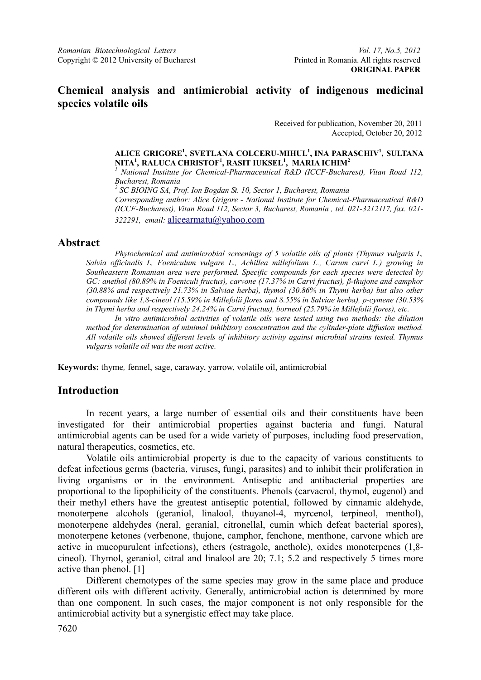## **Chemical analysis and antimicrobial activity of indigenous medicinal species volatile oils**

Received for publication, November 20, 2011 Accepted, October 20, 2012

#### **ALICE GRIGORE1 , SVETLANA COLCERU-MIHUL1 , INA PARASCHIV1 , SULTANA NITA1 , RALUCA CHRISTOF1 , RASIT IUKSEL1 , MARIA ICHIM<sup>2</sup>**

*1 National Institute for Chemical-Pharmaceutical R&D (ICCF-Bucharest), Vitan Road 112, Bucharest, Romania* 

<sup>2</sup> SC BIOING SA, Prof. Ion Bogdan St. 10, Sector 1, Bucharest, Romania

*Corresponding author: Alice Grigore - National Institute for Chemical-Pharmaceutical R&D (ICCF-Bucharest), Vitan Road 112, Sector 3, Bucharest, Romania , tel. 021-3212117, fax. 021- 322291, email:* alicearmatu@yahoo.com

#### **Abstract**

*Phytochemical and antimicrobial screenings of 5 volatile oils of plants (Thymus vulgaris L, Salvia officinalis L, Foeniculum vulgare L., Achillea millefolium L., Carum carvi L.) growing in Southeastern Romanian area were performed. Specific compounds for each species were detected by GC: anethol (80.89% in Foeniculi fructus), carvone (17.37% in Carvi fructus), β-thujone and camphor (30.88% and respectively 21.73% in Salviae herba), thymol (30.86% in Thymi herba) but also other compounds like 1,8-cineol (15.59% in Millefolii flores and 8.55% in Salviae herba), p-cymene (30.53% in Thymi herba and respectively 24.24% in Carvi fructus), borneol (25.79% in Millefolii flores), etc.* 

*In vitro antimicrobial activities of volatile oils were tested using two methods: the dilution method for determination of minimal inhibitory concentration and the cylinder-plate diffusion method. All volatile oils showed different levels of inhibitory activity against microbial strains tested. Thymus vulgaris volatile oil was the most active.* 

**Keywords:** thyme*,* fennel, sage, caraway, yarrow, volatile oil, antimicrobial

## **Introduction**

 In recent years, a large number of essential oils and their constituents have been investigated for their antimicrobial properties against bacteria and fungi. Natural antimicrobial agents can be used for a wide variety of purposes, including food preservation, natural therapeutics, cosmetics, etc.

 Volatile oils antimicrobial property is due to the capacity of various constituents to defeat infectious germs (bacteria, viruses, fungi, parasites) and to inhibit their proliferation in living organisms or in the environment. Antiseptic and antibacterial properties are proportional to the lipophilicity of the constituents. Phenols (carvacrol, thymol, eugenol) and their methyl ethers have the greatest antiseptic potential, followed by cinnamic aldehyde, monoterpene alcohols (geraniol, linalool, thuyanol-4, myrcenol, terpineol, menthol), monoterpene aldehydes (neral, geranial, citronellal, cumin which defeat bacterial spores), monoterpene ketones (verbenone, thujone, camphor, fenchone, menthone, carvone which are active in mucopurulent infections), ethers (estragole, anethole), oxides monoterpenes (1,8 cineol). Thymol, geraniol, citral and linalool are 20; 7.1; 5.2 and respectively 5 times more active than phenol. [1]

 Different chemotypes of the same species may grow in the same place and produce different oils with different activity. Generally, antimicrobial action is determined by more than one component. In such cases, the major component is not only responsible for the antimicrobial activity but a synergistic effect may take place.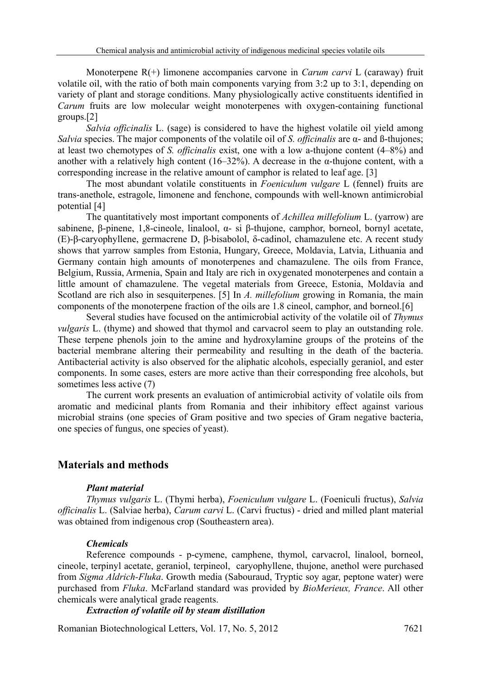Monoterpene R(+) limonene accompanies carvone in *Carum carvi* L (caraway) fruit volatile oil, with the ratio of both main components varying from 3:2 up to 3:1, depending on variety of plant and storage conditions. Many physiologically active constituents identified in *Carum* fruits are low molecular weight monoterpenes with oxygen-containing functional groups.[2]

*Salvia officinalis* L. (sage) is considered to have the highest volatile oil yield among *Salvia* species. The major components of the volatile oil of *S. officinalis* are α- and ß-thujones; at least two chemotypes of *S. officinalis* exist, one with a low a-thujone content (4–8%) and another with a relatively high content  $(16-32\%)$ . A decrease in the  $\alpha$ -thujone content, with a corresponding increase in the relative amount of camphor is related to leaf age. [3]

 The most abundant volatile constituents in *Foeniculum vulgare* L (fennel) fruits are trans-anethole, estragole, limonene and fenchone, compounds with well-known antimicrobial potential [4]

 The quantitatively most important components of *Achillea millefolium* L. (yarrow) are sabinene, β-pinene, 1,8-cineole, linalool, α- si β-thujone, camphor, borneol, bornyl acetate, (E)-β-caryophyllene, germacrene D, β-bisabolol, δ-cadinol, chamazulene etc. A recent study shows that yarrow samples from Estonia, Hungary, Greece, Moldavia, Latvia, Lithuania and Germany contain high amounts of monoterpenes and chamazulene. The oils from France, Belgium, Russia, Armenia, Spain and Italy are rich in oxygenated monoterpenes and contain a little amount of chamazulene. The vegetal materials from Greece, Estonia, Moldavia and Scotland are rich also in sesquiterpenes. [5] In *A. millefolium* growing in Romania, the main components of the monoterpene fraction of the oils are 1.8 cineol, camphor, and borneol.[6]

 Several studies have focused on the antimicrobial activity of the volatile oil of *Thymus vulgaris* L. (thyme) and showed that thymol and carvacrol seem to play an outstanding role. These terpene phenols join to the amine and hydroxylamine groups of the proteins of the bacterial membrane altering their permeability and resulting in the death of the bacteria. Antibacterial activity is also observed for the aliphatic alcohols, especially geraniol, and ester components. In some cases, esters are more active than their corresponding free alcohols, but sometimes less active (7)

The current work presents an evaluation of antimicrobial activity of volatile oils from aromatic and medicinal plants from Romania and their inhibitory effect against various microbial strains (one species of Gram positive and two species of Gram negative bacteria, one species of fungus, one species of yeast).

## **Materials and methods**

#### *Plant material*

 *Thymus vulgaris* L. (Thymi herba), *Foeniculum vulgare* L. (Foeniculi fructus), *Salvia officinalis* L. (Salviae herba), *Carum carvi* L. (Carvi fructus) - dried and milled plant material was obtained from indigenous crop (Southeastern area).

#### *Chemicals*

 Reference compounds - p-cymene, camphene, thymol, carvacrol, linalool, borneol, cineole, terpinyl acetate, geraniol, terpineol, caryophyllene, thujone, anethol were purchased from *Sigma Aldrich-Fluka*. Growth media (Sabouraud, Tryptic soy agar, peptone water) were purchased from *Fluka*. McFarland standard was provided by *BioMerieux, France*. All other chemicals were analytical grade reagents.

#### *Extraction of volatile oil by steam distillation*

Romanian Biotechnological Letters, Vol. 17, No. 5, 2012 7621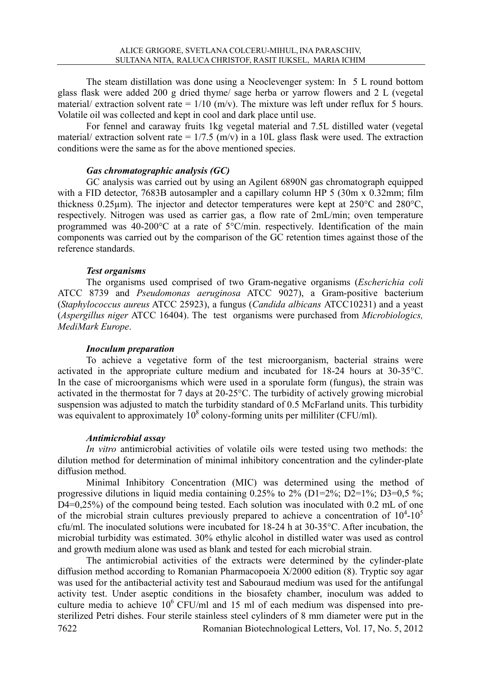The steam distillation was done using a Neoclevenger system: In 5 L round bottom glass flask were added 200 g dried thyme/ sage herba or yarrow flowers and 2 L (vegetal material/ extraction solvent rate =  $1/10$  (m/v). The mixture was left under reflux for 5 hours. Volatile oil was collected and kept in cool and dark place until use.

 For fennel and caraway fruits 1kg vegetal material and 7.5L distilled water (vegetal material/ extraction solvent rate =  $1/7.5$  (m/v) in a 10L glass flask were used. The extraction conditions were the same as for the above mentioned species.

#### *Gas chromatographic analysis (GC)*

 GC analysis was carried out by using an Agilent 6890N gas chromatograph equipped with a FID detector, 7683B autosampler and a capillary column HP 5 (30m x  $0.32$ mm; film thickness 0.25 $\mu$ m). The injector and detector temperatures were kept at 250 $^{\circ}$ C and 280 $^{\circ}$ C, respectively. Nitrogen was used as carrier gas, a flow rate of 2mL/min; oven temperature programmed was 40-200 $^{\circ}$ C at a rate of  $5^{\circ}$ C/min. respectively. Identification of the main components was carried out by the comparison of the GC retention times against those of the reference standards.

#### *Test organisms*

 The organisms used comprised of two Gram-negative organisms (*Escherichia coli* ATCC 8739 and *Pseudomonas aeruginosa* ATCC 9027), a Gram-positive bacterium (*Staphylococcus aureus* ATCC 25923), a fungus (*Candida albicans* ATCC10231) and a yeast (*Aspergillus niger* ATCC 16404). The test organisms were purchased from *Microbiologics, MediMark Europe*.

#### *Inoculum preparation*

 To achieve a vegetative form of the test microorganism, bacterial strains were activated in the appropriate culture medium and incubated for 18-24 hours at 30-35°C. In the case of microorganisms which were used in a sporulate form (fungus), the strain was activated in the thermostat for 7 days at 20-25°C. The turbidity of actively growing microbial suspension was adjusted to match the turbidity standard of 0.5 McFarland units. This turbidity was equivalent to approximately  $10^8$  colony-forming units per milliliter (CFU/ml).

#### *Antimicrobial assay*

*In vitro* antimicrobial activities of volatile oils were tested using two methods: the dilution method for determination of minimal inhibitory concentration and the cylinder-plate diffusion method.

 Minimal Inhibitory Concentration (MIC) was determined using the method of progressive dilutions in liquid media containing  $0.25\%$  to  $2\%$  (D1=2%; D2=1%; D3=0,5 %; D4=0,25%) of the compound being tested. Each solution was inoculated with 0.2 mL of one of the microbial strain cultures previously prepared to achieve a concentration of  $10^4$ - $10^5$ cfu/ml. The inoculated solutions were incubated for 18-24 h at 30-35°C. After incubation, the microbial turbidity was estimated. 30% ethylic alcohol in distilled water was used as control and growth medium alone was used as blank and tested for each microbial strain.

7622 Romanian Biotechnological Letters, Vol. 17, No. 5, 2012 The antimicrobial activities of the extracts were determined by the cylinder-plate diffusion method according to Romanian Pharmacopoeia X/2000 edition (8). Tryptic soy agar was used for the antibacterial activity test and Sabouraud medium was used for the antifungal activity test. Under aseptic conditions in the biosafety chamber, inoculum was added to culture media to achieve  $10^6$  CFU/ml and 15 ml of each medium was dispensed into presterilized Petri dishes. Four sterile stainless steel cylinders of 8 mm diameter were put in the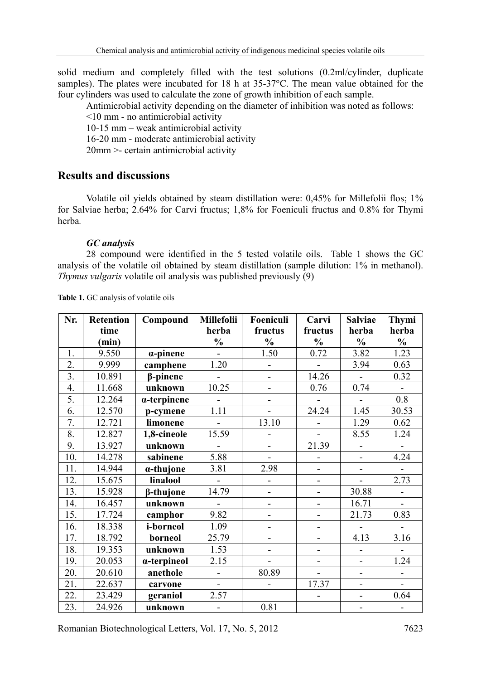solid medium and completely filled with the test solutions (0.2ml/cylinder, duplicate samples). The plates were incubated for 18 h at 35-37°C. The mean value obtained for the four cylinders was used to calculate the zone of growth inhibition of each sample.

Antimicrobial activity depending on the diameter of inhibition was noted as follows:

<10 mm - no antimicrobial activity

10-15 mm – weak antimicrobial activity

16-20 mm - moderate antimicrobial activity

20mm >- certain antimicrobial activity

## **Results and discussions**

Volatile oil yields obtained by steam distillation were: 0,45% for Millefolii flos; 1% for Salviae herba; 2.64% for Carvi fructus; 1,8% for Foeniculi fructus and 0.8% for Thymi herba*.* 

#### *GC analysis*

 28 compound were identified in the 5 tested volatile oils. Table 1 shows the GC analysis of the volatile oil obtained by steam distillation (sample dilution: 1% in methanol). *Thymus vulgaris* volatile oil analysis was published previously (9)

| Nr. | <b>Retention</b> | Compound            | Millefolii               | Foeniculi                | Carvi                    | <b>Salviae</b>               | Thymi          |
|-----|------------------|---------------------|--------------------------|--------------------------|--------------------------|------------------------------|----------------|
|     | time             |                     | herba                    | fructus                  | fructus                  | herba                        | herba          |
|     | (min)            |                     | $\frac{1}{2}$            | $\frac{0}{0}$            | $\frac{1}{2}$            | $\frac{0}{0}$                | $\frac{0}{0}$  |
| 1.  | 9.550            | $\alpha$ -pinene    |                          | 1.50                     | 0.72                     | 3.82                         | 1.23           |
| 2.  | 9.999            | camphene            | 1.20                     |                          |                          | 3.94                         | 0.63           |
| 3.  | 10.891           | $\beta$ -pinene     | $\overline{a}$           | $\overline{a}$           | 14.26                    | $\overline{a}$               | 0.32           |
| 4.  | 11.668           | unknown             | 10.25                    | $\overline{a}$           | 0.76                     | 0.74                         |                |
| 5.  | 12.264           | $\alpha$ -terpinene | $\overline{\phantom{a}}$ |                          | $\overline{\phantom{0}}$ | $\overline{a}$               | 0.8            |
| 6.  | 12.570           | p-cymene            | 1.11                     | $\overline{a}$           | 24.24                    | 1.45                         | 30.53          |
| 7.  | 12.721           | limonene            | $\blacksquare$           | 13.10                    | $\blacksquare$           | 1.29                         | 0.62           |
| 8.  | 12.827           | 1,8-cineole         | 15.59                    | $\overline{a}$           | $\sim$                   | 8.55                         | 1.24           |
| 9.  | 13.927           | unknown             |                          | $\overline{a}$           | 21.39                    | $\overline{\phantom{a}}$     |                |
| 10. | 14.278           | sabinene            | 5.88                     | $\overline{a}$           |                          | $\overline{\phantom{0}}$     | 4.24           |
| 11. | 14.944           | $\alpha$ -thujone   | 3.81                     | 2.98                     | $\overline{\phantom{a}}$ | $\overline{\phantom{a}}$     |                |
| 12. | 15.675           | linalool            | $\overline{\phantom{a}}$ | $\overline{a}$           | $\overline{\phantom{a}}$ | $\overline{a}$               | 2.73           |
| 13. | 15.928           | β-thujone           | 14.79                    | $\overline{a}$           | $\overline{a}$           | 30.88                        | $\overline{a}$ |
| 14. | 16.457           | unknown             | $\overline{\phantom{a}}$ | $\overline{a}$           | $\overline{a}$           | 16.71                        | $\blacksquare$ |
| 15. | 17.724           | camphor             | 9.82                     | $\overline{\phantom{0}}$ | $\overline{\phantom{0}}$ | 21.73                        | 0.83           |
| 16. | 18.338           | i-borneol           | 1.09                     | $\overline{\phantom{0}}$ | $\overline{\phantom{0}}$ | $\sim$                       |                |
| 17. | 18.792           | borneol             | 25.79                    | $\overline{a}$           | $\overline{\phantom{a}}$ | 4.13                         | 3.16           |
| 18. | 19.353           | unknown             | 1.53                     | $\overline{a}$           | $\overline{\phantom{0}}$ | $\overline{\phantom{0}}$     |                |
| 19. | 20.053           | a-terpineol         | 2.15                     | $\overline{a}$           | $\overline{a}$           | $\qquad \qquad \blacksquare$ | 1.24           |
| 20. | 20.610           | anethole            | $\overline{a}$           | 80.89                    |                          | $\overline{\phantom{a}}$     |                |
| 21. | 22.637           | carvone             | $\overline{\phantom{a}}$ |                          | 17.37                    | $\overline{\phantom{0}}$     |                |
| 22. | 23.429           | geraniol            | 2.57                     |                          |                          | $\overline{a}$               | 0.64           |
| 23. | 24.926           | unknown             |                          | 0.81                     |                          |                              |                |

**Table 1.** GC analysis of volatile oils

Romanian Biotechnological Letters, Vol. 17, No. 5, 2012 7623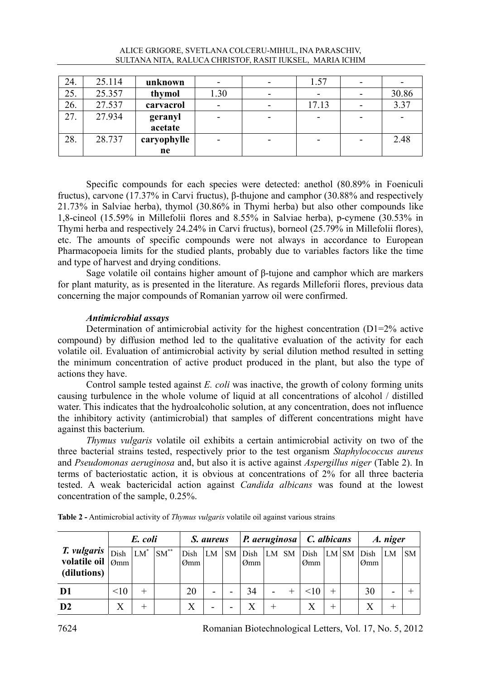|     |        | SULTANA NITA, RALUCA CHRISTOF, RASIT IUKSEL, MARIA ICHIM |      |       |       |
|-----|--------|----------------------------------------------------------|------|-------|-------|
|     |        |                                                          |      |       |       |
| 24. | 25.114 | unknown                                                  |      | 1.57  |       |
| 25. | 25.357 | thymol                                                   | 1.30 |       | 30.86 |
| 26. | 27.537 | carvacrol                                                |      | 17.13 | 3.37  |
| 27. | 27.934 | geranyl                                                  |      |       |       |
|     |        | acetate                                                  |      |       |       |

- | - | - | - | 2.48

# ALICE GRIGORE, SVETLANA COLCERU-MIHUL,INA PARASCHIV,

Specific compounds for each species were detected: anethol (80.89% in Foeniculi fructus), carvone (17.37% in Carvi fructus), β-thujone and camphor (30.88% and respectively 21.73% in Salviae herba), thymol (30.86% in Thymi herba) but also other compounds like 1,8-cineol (15.59% in Millefolii flores and 8.55% in Salviae herba), p-cymene (30.53% in Thymi herba and respectively 24.24% in Carvi fructus), borneol (25.79% in Millefolii flores), etc. The amounts of specific compounds were not always in accordance to European Pharmacopoeia limits for the studied plants, probably due to variables factors like the time and type of harvest and drying conditions.

 Sage volatile oil contains higher amount of β-tujone and camphor which are markers for plant maturity, as is presented in the literature. As regards Milleforii flores, previous data concerning the major compounds of Romanian yarrow oil were confirmed.

### *Antimicrobial assays*

28. 28.737 **caryophylle**

**ne** 

 Determination of antimicrobial activity for the highest concentration (D1=2% active compound) by diffusion method led to the qualitative evaluation of the activity for each volatile oil. Evaluation of antimicrobial activity by serial dilution method resulted in setting the minimum concentration of active product produced in the plant, but also the type of actions they have.

 Control sample tested against *E. coli* was inactive, the growth of colony forming units causing turbulence in the whole volume of liquid at all concentrations of alcohol / distilled water. This indicates that the hydroalcoholic solution, at any concentration, does not influence the inhibitory activity (antimicrobial) that samples of different concentrations might have against this bacterium.

*Thymus vulgaris* volatile oil exhibits a certain antimicrobial activity on two of the three bacterial strains tested, respectively prior to the test organism *Staphylococcus aureus* and *Pseudomonas aeruginosa* and, but also it is active against *Aspergillus niger* (Table 2). In terms of bacteriostatic action, it is obvious at concentrations of 2% for all three bacteria tested. A weak bactericidal action against *Candida albicans* was found at the lowest concentration of the sample, 0.25%.

|                                                                |      | E. coli |                 | S. aureus   |                          |           | P. aeruginosa   C. albicans |                          |   |             |              |           | A. niger    |    |    |
|----------------------------------------------------------------|------|---------|-----------------|-------------|--------------------------|-----------|-----------------------------|--------------------------|---|-------------|--------------|-----------|-------------|----|----|
| T. vulgaris<br>volatile oil $ _{\mathcal{O}mm}$<br>(dilutions) | Dish | $LM^*$  | $SM^{\ast\ast}$ | Dish<br>Ømm | LM                       | <b>SM</b> | Dish<br>Ømm                 | LM SM                    |   | Dish<br>Ømm | LM           | <b>SM</b> | Dish<br>Ømm | LM | SM |
| D <sub>1</sub>                                                 | <10  |         |                 | 20          | $\overline{\phantom{0}}$ |           | 34                          | $\overline{\phantom{a}}$ | ┿ | <10         |              |           | 30          | -  |    |
| D2                                                             | X    |         |                 |             | -                        |           |                             |                          |   | X           | $\mathrm{+}$ |           | X           |    |    |

**Table 2 -** Antimicrobial activity of *Thymus vulgaris* volatile oil against various strains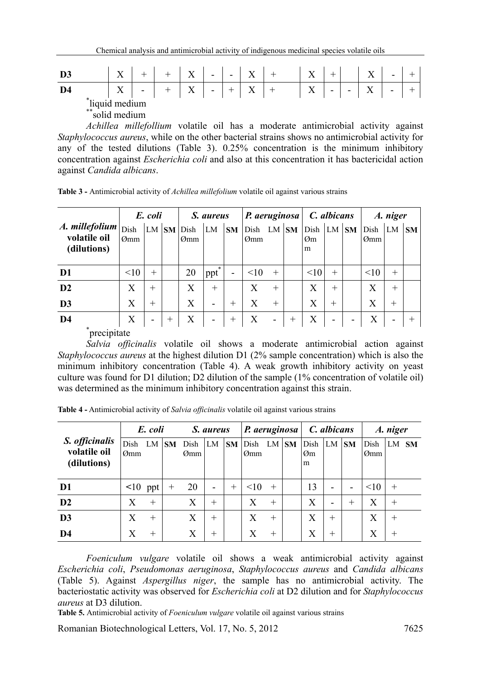| D3                                                    | $\mathbf{x}$<br>$\Lambda$ |                          |  | $\mathbf X$ | $\sim$ $-$ | $\overline{\phantom{0}}$ | X |  | X |                          |   | $\mathbf{v}$<br>л | $\overline{\phantom{0}}$ |  |
|-------------------------------------------------------|---------------------------|--------------------------|--|-------------|------------|--------------------------|---|--|---|--------------------------|---|-------------------|--------------------------|--|
| D4                                                    | $\mathbf{v}$<br>$\Lambda$ | $\overline{\phantom{a}}$ |  | X           | -          |                          | Χ |  | X | $\overline{\phantom{a}}$ | - | $\mathbf{v}$      | $\overline{\phantom{a}}$ |  |
| $*$ .<br>"liquid medium<br>$\ast\ast$<br>solid medium |                           |                          |  |             |            |                          |   |  |   |                          |   |                   |                          |  |

 *Achillea millefollium* volatile oil has a moderate antimicrobial activity against *Staphylococcus aureus*, while on the other bacterial strains shows no antimicrobial activity for any of the tested dilutions (Table 3). 0.25% concentration is the minimum inhibitory concentration against *Escherichia coli* and also at this concentration it has bactericidal action against *Candida albicans*.

**Table 3 -** Antimicrobial activity of *Achillea millefolium* volatile oil against various strains

|                                                 | E. coli     |           |     | S. aureus   |          |                          | P. aeruginosa |                          |           | C. albicans     |        |           | A. niger    |                          |           |
|-------------------------------------------------|-------------|-----------|-----|-------------|----------|--------------------------|---------------|--------------------------|-----------|-----------------|--------|-----------|-------------|--------------------------|-----------|
| $A.$ millefolium<br>volatile oil<br>(dilutions) | Dish<br>Ømm | $LM$ $SM$ |     | Dish<br>Ømm | LM       | <b>SM</b>                | Dish<br>Ømm   | LM                       | <b>SM</b> | Dish<br>Øm<br>m | LM     | <b>SM</b> | Dish<br>Ømm | LM                       | <b>SM</b> |
| D <sub>1</sub>                                  | <10         | $^{+}$    |     | 20          | 米<br>ppt | $\overline{\phantom{a}}$ | <10           | $^{+}$                   |           | <10             | $^{+}$ |           | <10         | $^{+}$                   |           |
| D <sub>2</sub>                                  | X           | $^{+}$    |     | X           | $+$      |                          | X             | $^{+}$                   |           | X               | $^{+}$ |           | X           | $+$                      |           |
| D <sub>3</sub>                                  | X           | $^{+}$    |     | X           | -        | $^{+}$                   | X             | $^{+}$                   |           | X               | $^{+}$ |           | X           | $^{+}$                   |           |
| D <sub>4</sub>                                  | X           | -         | $+$ | X           | -        | $^{+}$                   | X             | $\overline{\phantom{a}}$ | $^{+}$    | X               |        |           | X           | $\overline{\phantom{0}}$ |           |
| *<br><u>nrooinitoto</u>                         |             |           |     |             |          |                          |               |                          |           |                 |        |           |             |                          |           |

precipitate

 *Salvia officinalis* volatile oil shows a moderate antimicrobial action against *Staphylococcus aureus* at the highest dilution D1 (2% sample concentration) which is also the minimum inhibitory concentration (Table 4). A weak growth inhibitory activity on yeast culture was found for D1 dilution; D2 dilution of the sample (1% concentration of volatile oil) was determined as the minimum inhibitory concentration against this strain.

**Table 4 -** Antimicrobial activity of *Salvia officinalis* volatile oil against various strains

|                                               | E. coli       |        |           | S. aureus   |        |           | P. aeruginosa |        |           | C. albicans     |                          |           | A. niger    |        |  |
|-----------------------------------------------|---------------|--------|-----------|-------------|--------|-----------|---------------|--------|-----------|-----------------|--------------------------|-----------|-------------|--------|--|
| S. officinalis<br>volatile oil<br>(dilutions) | Dish<br>Ømm   | LM     | <b>SM</b> | Dish<br>Ømm | LM     | <b>SM</b> | Dish<br>Ømm   | LM     | <b>SM</b> | Dish<br>Øm<br>m | LM                       | <b>SM</b> | Dish<br>Ømm | LM SM  |  |
| D1                                            | $\leq 10$ ppt |        | $^{+}$    | 20          | ۰      | $+$       | <10           | $^{+}$ |           | 13              | $\overline{\phantom{a}}$ | -         | <10         | $^{+}$ |  |
| D <sub>2</sub>                                | X             | $^{+}$ |           | X           | $^{+}$ |           | X             | $^{+}$ |           | X               | $\overline{\phantom{a}}$ | $^{+}$    | X           | $\pm$  |  |
| D <sub>3</sub>                                | X             | $^{+}$ |           | X           | $^{+}$ |           | X             | $^{+}$ |           | Х               | $^{+}$                   |           | X           | $^{+}$ |  |
| D4                                            | X             | $\pm$  |           | X           | $^{+}$ |           | X             | $^{+}$ |           | Χ               | $^{+}$                   |           | X           | $^{+}$ |  |

 *Foeniculum vulgare* volatile oil shows a weak antimicrobial activity against *Escherichia coli*, *Pseudomonas aeruginosa*, *Staphylococcus aureus* and *Candida albicans* (Table 5). Against *Aspergillus niger*, the sample has no antimicrobial activity. The bacteriostatic activity was observed for *Escherichia coli* at D2 dilution and for *Staphylococcus aureus* at D3 dilution.

**Table 5.** Antimicrobial activity of *Foeniculum vulgare* volatile oil against various strains

Romanian Biotechnological Letters, Vol. 17, No. 5, 2012 7625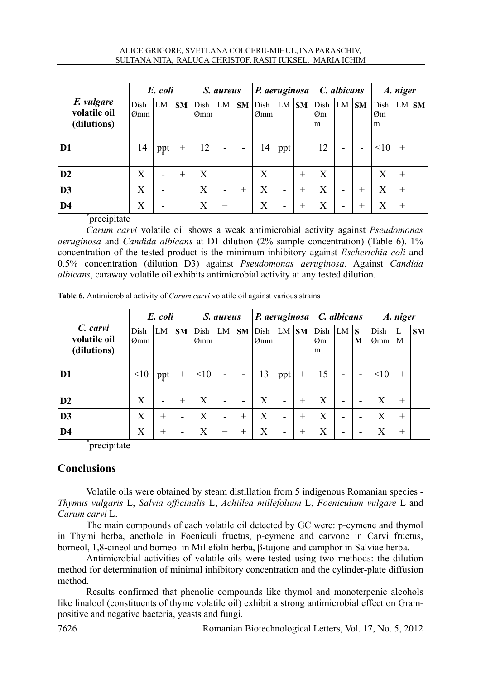|                                                  | E. coli     |                          |           | S. aureus   |        |           | P. aeruginosa C. albicans |                          |           |                 |                          |                          | A. niger        |        |  |
|--------------------------------------------------|-------------|--------------------------|-----------|-------------|--------|-----------|---------------------------|--------------------------|-----------|-----------------|--------------------------|--------------------------|-----------------|--------|--|
| <i>F. vulgare</i><br>volatile oil<br>(dilutions) | Dish<br>Ømm | LM                       | <b>SM</b> | Dish<br>Ømm | LM     | <b>SM</b> | Dish<br>Ømm               | LM                       | <b>SM</b> | Dish<br>Øm<br>m | LM                       | <b>SM</b>                | Dish<br>Øm<br>m | LM SM  |  |
| D <sub>1</sub>                                   | 14          | ppt                      | $^{+}$    | 12          |        |           | 14                        | ppt                      |           | 12              | $\overline{\phantom{0}}$ | -                        | <10             | $+$    |  |
| $\mathbf{D2}$                                    | X           | $\overline{\phantom{0}}$ | $^{+}$    | X           |        |           | X                         | -                        | $^{+}$    | X               |                          | $\overline{\phantom{0}}$ | X               | $^{+}$ |  |
| D <sub>3</sub>                                   | X           | $\overline{\phantom{0}}$ |           | X           |        | $^{+}$    | X                         | $\overline{\phantom{0}}$ | $^{+}$    | X               | $\overline{\phantom{0}}$ | $^{+}$                   | X               | $^{+}$ |  |
| D <sub>4</sub><br><u>nroqinitata</u>             | X           | -                        |           | X           | $^{+}$ |           | X                         | -                        | $^+$      | X               |                          | $^{+}$                   | X               | $^{+}$ |  |

precipitate

 *Carum carvi* volatile oil shows a weak antimicrobial activity against *Pseudomonas aeruginosa* and *Candida albicans* at D1 dilution (2% sample concentration) (Table 6). 1% concentration of the tested product is the minimum inhibitory against *Escherichia coli* and 0.5% concentration (dilution D3) against *Pseudomonas aeruginosa*. Against *Candida albicans*, caraway volatile oil exhibits antimicrobial activity at any tested dilution.

|                                         | E. coli          |        |           | S. aureus   |                |                          | P. aeruginosa C. albicans |                          |           |                 |                          |        | A. niger    |        |           |
|-----------------------------------------|------------------|--------|-----------|-------------|----------------|--------------------------|---------------------------|--------------------------|-----------|-----------------|--------------------------|--------|-------------|--------|-----------|
| C. carvi<br>volatile oil<br>(dilutions) | Dish<br>$Q_{mm}$ | LM     | <b>SM</b> | Dish<br>Ømm | LM             | SM                       | Dish<br>Ømm               | LM                       | <b>SM</b> | Dish<br>Øm<br>m | LM                       | S<br>M | Dish<br>Ømm | L<br>M | <b>SM</b> |
| D1                                      | <10              | ppt    | $^{+}$    | <10         | $\sim 10^{-1}$ | $\overline{\phantom{a}}$ | 13                        | ppt                      | $^{+}$    | -15             | $\overline{\phantom{a}}$ |        |             | $^{+}$ |           |
| D2                                      | X                | -      | $^{+}$    | X           |                |                          | X                         | $\overline{\phantom{0}}$ | $+$       | X               | $\overline{\phantom{a}}$ |        | X           | $^{+}$ |           |
| D <sub>3</sub>                          | X                | $^{+}$ | -         | X           |                | $^{+}$                   | X                         | $\overline{\phantom{a}}$ | $^{+}$    | X               | $\overline{\phantom{a}}$ |        | X           | $^{+}$ |           |
| D4                                      | X                | $^{+}$ | -         | X           | $^+$           | $^{+}$                   | X                         | $\overline{\phantom{0}}$ | $^+$      | X               | $\overline{\phantom{0}}$ |        |             | $\pm$  |           |

**Table 6.** Antimicrobial activity of *Carum carvi* volatile oil against various strains

\*precipitate

## **Conclusions**

 Volatile oils were obtained by steam distillation from 5 indigenous Romanian species - *Thymus vulgaris* L, *Salvia officinalis* L, *Achillea millefolium* L, *Foeniculum vulgare* L and *Carum carvi* L.

 The main compounds of each volatile oil detected by GC were: p-cymene and thymol in Thymi herba, anethole in Foeniculi fructus, p-cymene and carvone in Carvi fructus, borneol, 1,8-cineol and borneol in Millefolii herba, β-tujone and camphor in Salviae herba.

 Antimicrobial activities of volatile oils were tested using two methods: the dilution method for determination of minimal inhibitory concentration and the cylinder-plate diffusion method.

 Results confirmed that phenolic compounds like thymol and monoterpenic alcohols like linalool (constituents of thyme volatile oil) exhibit a strong antimicrobial effect on Grampositive and negative bacteria, yeasts and fungi.